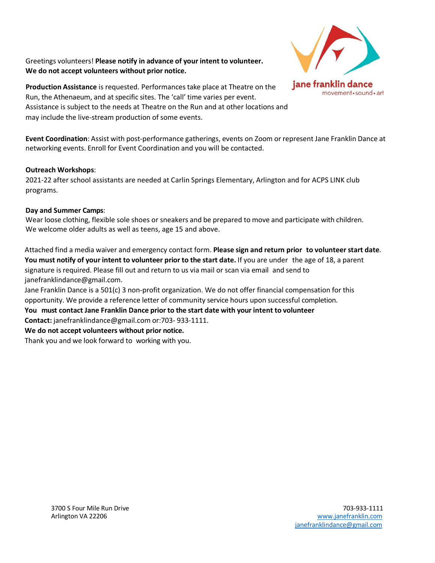Greetings volunteers! **Please notify in advance of your intent to volunteer. We do not accept volunteers without prior notice.**



**Production Assistance** is requested. Performances take place at Theatre on the Run, the Athenaeum, and at specific sites. The 'call' time varies per event. Assistance is subject to the needs at Theatre on the Run and at other locations and may include the live-stream production of some events.

**Event Coordination**: Assist with post-performance gatherings, events on Zoom or represent Jane Franklin Dance at networking events. Enroll for Event Coordination and you will be contacted.

### **Outreach Workshops**:

2021-22 after school assistants are needed at Carlin Springs Elementary, Arlington and for ACPS LINK club programs.

## **Day and Summer Camps**:

Wear loose clothing, flexible sole shoes or sneakers and be prepared to move and participate with children. We welcome older adults as well as teens, age 15 and above.

Attached find a media waiver and emergency contact form. **Please sign and return prior to volunteer start date**. **You must notify of your intent to volunteer prior to the start date.** If you are under the age of 18, [a parent](mailto:janefranklindance@gmail.com) signature is [required. Please](mailto:janefranklindance@gmail.com) fill out and return to us via mail or scan via email and send to janefranklindance@gmail.com.

Jane Franklin Dance is a 501(c) 3 non-profit organization. We do not offer financial compensation for this opportunity. We provide [a reference](mailto:janefranklindance@gmail.com) letter of community service hours upon successful completion.

# **You must contact Jane Franklin Dance prior to the start date with your intent to volunteer Contact:** janefranklindance@gmail.com or:703- 933-1111.

### **We do not accept volunteers without prior notice.**

Thank you and we look forward to working with you.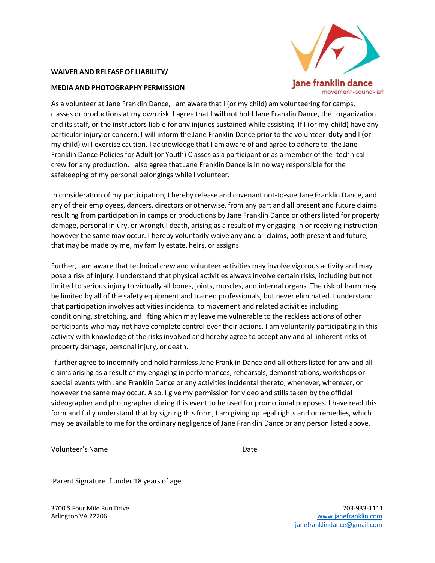#### **WAIVER AND RELEASE OF LIABILITY/**

#### **MEDIA AND PHOTOGRAPHY PERMISSION**



As a volunteer at Jane Franklin Dance, I am aware that I (or my child) am volunteering for camps, classes or productions at my own risk. I agree that I will not hold Jane Franklin Dance, the organization and its staff, or the instructors liable for any injuries sustained while assisting. If I (or my child) have any particular injury or concern, I will inform the Jane Franklin Dance prior to the volunteer duty and I (or my child) will exercise caution. I acknowledge that I am aware of and agree to adhere to the Jane Franklin Dance Policies for Adult (or Youth) Classes as a participant or as a member of the technical crew for any production. I also agree that Jane Franklin Dance is in no way responsible for the safekeeping of my personal belongings while I volunteer.

In consideration of my participation, I hereby release and covenant not-to-sue Jane Franklin Dance, and any of their employees, dancers, directors or otherwise, from any part and all present and future claims resulting from participation in camps or productions by Jane Franklin Dance or others listed for property damage, personal injury, or wrongful death, arising as a result of my engaging in or receiving instruction however the same may occur. I hereby voluntarily waive any and all claims, both present and future, that may be made by me, my family estate, heirs, or assigns.

Further, I am aware that technical crew and volunteer activities may involve vigorous activity and may pose a risk of injury. I understand that physical activities always involve certain risks, including but not limited to serious injury to virtually all bones, joints, muscles, and internal organs. The risk of harm may be limited by all of the safety equipment and trained professionals, but never eliminated. I understand that participation involves activities incidental to movement and related activities including conditioning, stretching, and lifting which may leave me vulnerable to the reckless actions of other participants who may not have complete control over their actions. I am voluntarily participating in this activity with knowledge of the risks involved and hereby agree to accept any and all inherent risks of property damage, personal injury, or death.

I further agree to indemnify and hold harmless Jane Franklin Dance and all others listed for any and all claims arising as a result of my engaging in performances, rehearsals, demonstrations, workshops or special events with Jane Franklin Dance or any activities incidental thereto, whenever, wherever, or however the same may occur. Also, I give my permission for video and stills taken by the official videographer and photographer during this event to be used for promotional purposes. I have read this form and fully understand that by signing this form, I am giving up legal rights and or remedies, which may be available to me for the ordinary negligence of Jane Franklin Dance or any person listed above.

| Volunteer's Name | Date |
|------------------|------|
|                  |      |

Parent Signature if under 18 years of age

3700 S Four Mile Run Drive Arlington VA 22206

703-933-1111 [www.janefranklin.com](http://www.janefranklin.com/) [janefranklindance@gmail.com](mailto:janefranklindance@gmail.com)